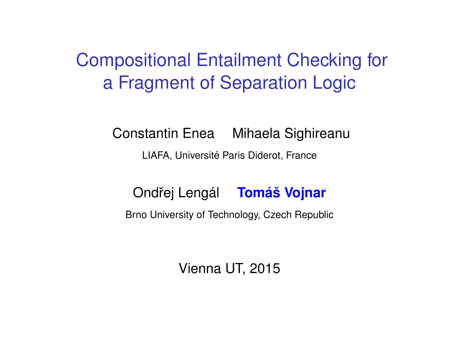# Compositional Entailment Checking for a Fragment of Separation Logic

Constantin Enea Mihaela Sighireanu

LIAFA, Université Paris Diderot, France

Ondˇrej Lengal ´ **Toma´s Vojnar ˇ**

<span id="page-0-0"></span>Brno University of Technology, Czech Republic

Vienna UT, 2015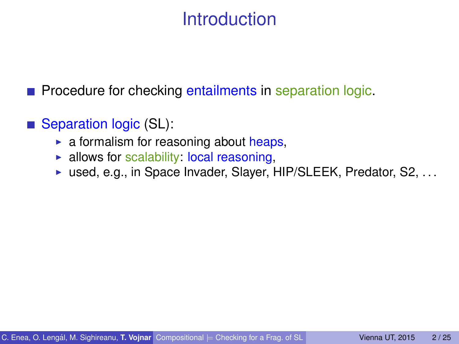# **Introduction**

**Procedure for checking entailments in separation logic.** 

■ Separation logic (SL):

- $\triangleright$  a formalism for reasoning about heaps,
- $\blacktriangleright$  allows for scalability: local reasoning,
- $\triangleright$  used, e.g., in Space Invader, Slayer, HIP/SLEEK, Predator, S2, ...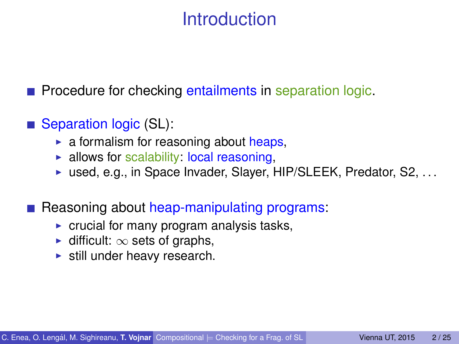# Introduction

**Procedure for checking entailments in separation logic.** 

- Separation logic (SL):
	- $\triangleright$  a formalism for reasoning about heaps,
	- $\blacktriangleright$  allows for scalability: local reasoning,
	- $\triangleright$  used, e.g., in Space Invader, Slayer, HIP/SLEEK, Predator, S2, ...
- Reasoning about heap-manipulating programs:
	- $\triangleright$  crucial for many program analysis tasks,
	- $\triangleright$  difficult:  $\infty$  sets of graphs,
	- $\blacktriangleright$  still under heavy research.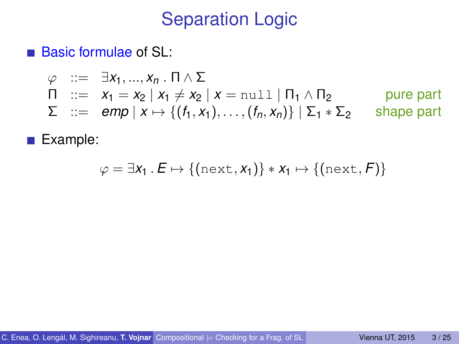## Separation Logic

■ Basic formulae of SL:

$$
\varphi ::= \exists x_1, ..., x_n \cdot \Pi \wedge \Sigma
$$
  
\n
$$
\Pi ::= x_1 = x_2 | x_1 \neq x_2 | x = \text{null} | \Pi_1 \wedge \Pi_2
$$
 pure part  
\n
$$
\Sigma ::= \text{emp} | x \mapsto \{(f_1, x_1), ..., (f_n, x_n)\} | \Sigma_1 * \Sigma_2
$$
 shape part

Example:

$$
\varphi = \exists x_1 \,.\, E \mapsto \{(\text{next},x_1)\} \ast x_1 \mapsto \{(\text{next},F)\}
$$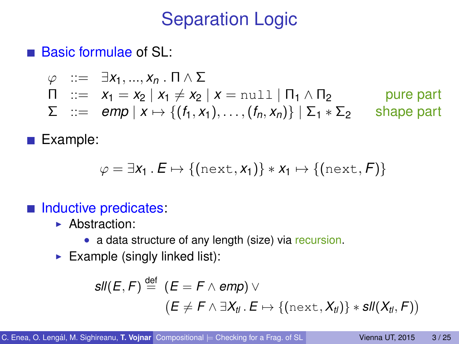# Separation Logic

■ Basic formulae of SL:

$$
\varphi ::= \exists x_1, ..., x_n \cdot \Pi \wedge \Sigma
$$
  
\n
$$
\Pi ::= x_1 = x_2 | x_1 \neq x_2 | x = \text{null} | \Pi_1 \wedge \Pi_2
$$
 pure part  
\n
$$
\Sigma ::= \text{emp} | x \mapsto \{ (f_1, x_1), ..., (f_n, x_n) \} | \Sigma_1 * \Sigma_2
$$
 shape part

Example:

$$
\varphi = \exists x_1 \, . \, E \mapsto \{(\text{next},x_1)\} \ast x_1 \mapsto \{(\text{next},F)\}
$$

#### Inductive predicates:

- $\blacktriangleright$  Abstraction:
	- a data structure of any length (size) via recursion.
- Example (singly linked list):

$$
\mathsf{sll}(E,F) \stackrel{\mathsf{def}}{=} (E = F \land \mathsf{emp}) \lor (E \neq F \land \exists X_{\mathsf{d}} \ldotp E \mapsto \{(\text{next},X_{\mathsf{d}})\} * \mathsf{sll}(X_{\mathsf{d}}\ldotp F))
$$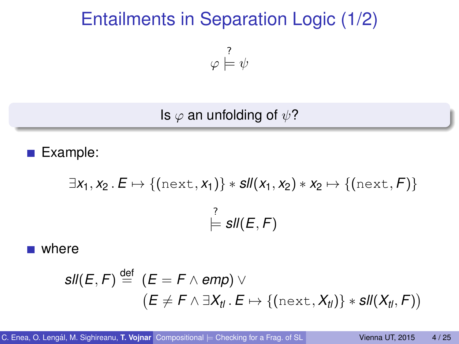# Entailments in Separation Logic (1/2)

 $\varphi$  $\stackrel{?}{\models}\psi$ 

Is  $\varphi$  an unfolding of  $\psi$ ?

Example:

$$
\exists x_1, x_2 \ldotp E \mapsto \{(\text{next}, x_1)\} * \mathit{sll}(x_1, x_2) * x_2 \mapsto \{(\text{next}, F)\}\
$$

$$
\models \mathit{sll}(E, F)
$$

**u** where

$$
\mathsf{sll}(E,F) \stackrel{\mathsf{def}}{=} (E = F \land \mathsf{emp}) \lor (E \neq F \land \exists X_{tl}.\, E \mapsto \{(\text{next}, X_{tl})\} * \mathsf{sll}(X_{tl}, F))
$$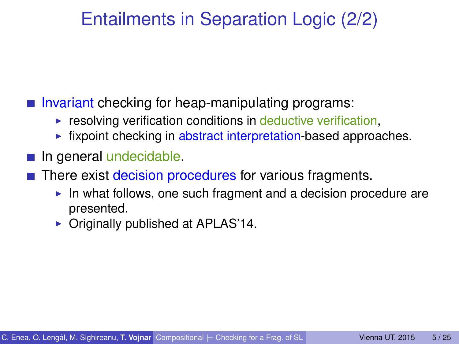# Entailments in Separation Logic (2/2)

Invariant checking for heap-manipulating programs:

- $\triangleright$  resolving verification conditions in deductive verification,
- $\blacktriangleright$  fixpoint checking in abstract interpretation-based approaches.
- $\blacksquare$  In general undecidable.
- **There exist decision procedures for various fragments.** 
	- $\blacktriangleright$  In what follows, one such fragment and a decision procedure are presented.
	- $\triangleright$  Originally published at APLAS'14.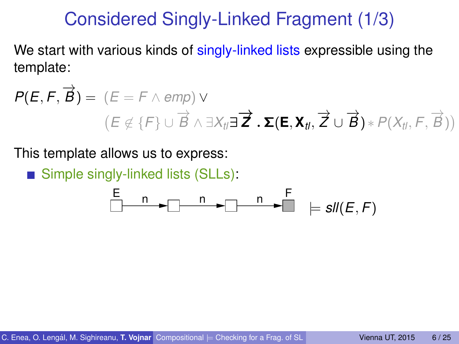### Considered Singly-Linked Fragment (1/3)

We start with various kinds of singly-linked lists expressible using the template:

$$
P(E, F, \overrightarrow{B}) = (E = F \wedge emp) \vee
$$
  

$$
(E \notin \{F\} \cup \overrightarrow{B} \wedge \exists X_{t} \exists \overrightarrow{Z} \cdot \Sigma(E, X_{t}, \overrightarrow{Z} \cup \overrightarrow{B}) * P(X_{t}, F, \overrightarrow{B}))
$$

This template allows us to express:

Simple singly-linked lists (SLLs):

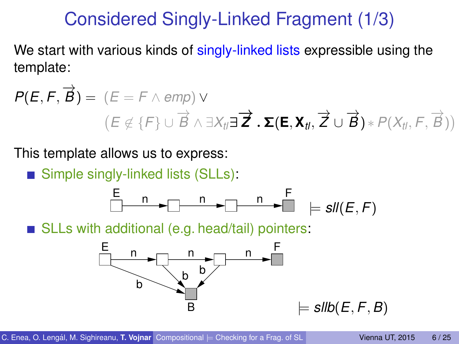## Considered Singly-Linked Fragment (1/3)

We start with various kinds of singly-linked lists expressible using the template:

$$
P(E, F, \overrightarrow{B}) = (E = F \wedge emp) \vee
$$
  

$$
(E \notin \{F\} \cup \overrightarrow{B} \wedge \exists X_{t} \exists \overrightarrow{Z} \cdot \Sigma(E, X_{t}, \overrightarrow{Z} \cup \overrightarrow{B}) * P(X_{t}, F, \overrightarrow{B}))
$$

This template allows us to express:

Simple singly-linked lists (SLLs):



SLLs with additional (e.g. head/tail) pointers:

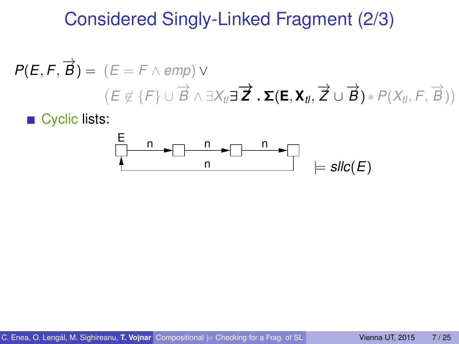## Considered Singly-Linked Fragment (2/3)

$$
P(E, F, \overrightarrow{B}) = (E = F \wedge emp) \vee
$$
  

$$
(E \notin \{F\} \cup \overrightarrow{B} \wedge \exists X_{t} \exists \overrightarrow{Z} \cdot \Sigma(E, X_{t}, \overrightarrow{Z} \cup \overrightarrow{B}) * P(X_{t}, F, \overrightarrow{B}))
$$

■ Cyclic lists:

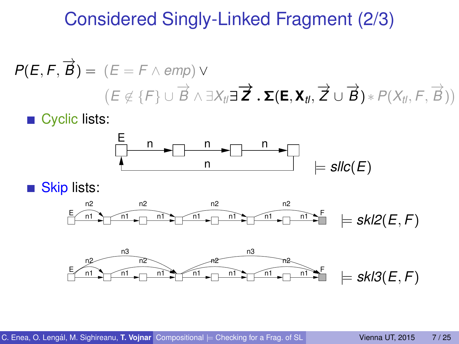## Considered Singly-Linked Fragment (2/3)

$$
P(E, F, \overrightarrow{B}) = (E = F \land emp) \lor (E \notin \{F\} \cup \overrightarrow{B} \land \exists X_{t} \exists \overrightarrow{Z} \cdot \Sigma(E, X_{t}, \overrightarrow{Z} \cup \overrightarrow{B}) * P(X_{t}, F, \overrightarrow{B}))
$$

■ Cyclic lists:



Skip lists:  $\mathcal{L}_{\mathcal{A}}$ 



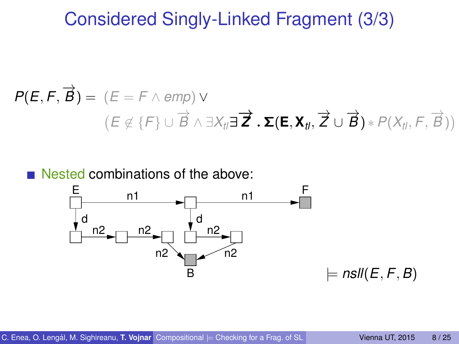#### Considered Singly-Linked Fragment (3/3)

$$
P(E, F, \overrightarrow{B}) = (E = F \wedge emp) \vee
$$
  

$$
(E \notin \{F\} \cup \overrightarrow{B} \wedge \exists X_{t} \exists \overrightarrow{Z} \cdot \Sigma(E, X_{t}, \overrightarrow{Z} \cup \overrightarrow{B}) * P(X_{t}, F, \overrightarrow{B}))
$$

#### Nested combinations of the above:

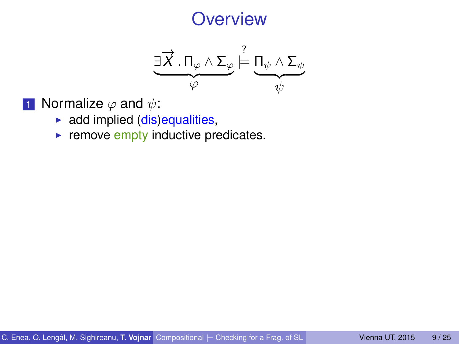$$
\underbrace{\exists \overrightarrow{X}.\, \Pi_{\varphi} \wedge \Sigma_{\varphi}}_{\varphi} \stackrel{?}{\models} \underbrace{\Pi_{\psi} \wedge \Sigma_{\psi}}_{\psi}
$$

- **1** Normalize  $\varphi$  and  $\psi$ :
	- $\blacktriangleright$  add implied (dis)equalities,
	- $\blacktriangleright$  remove empty inductive predicates.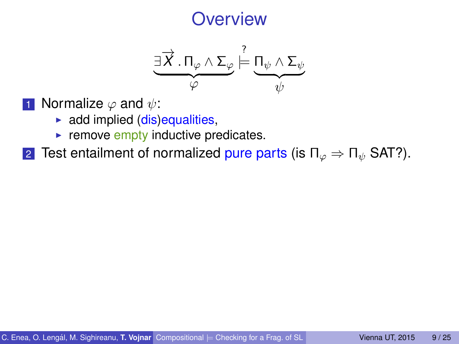$$
\underbrace{\exists \overrightarrow{X}.\, \Pi_{\varphi} \wedge \Sigma_{\varphi}}_{\varphi} \stackrel{?}{\models} \underbrace{\Pi_{\psi} \wedge \Sigma_{\psi}}_{\psi}
$$

- **1** Normalize  $\varphi$  and  $\psi$ :
	- $\triangleright$  add implied (dis)equalities,
	- $\blacktriangleright$  remove empty inductive predicates.
- 2 Test entailment of normalized pure parts (is  $\Pi_{\varphi} \Rightarrow \Pi_{\psi}$  SAT?).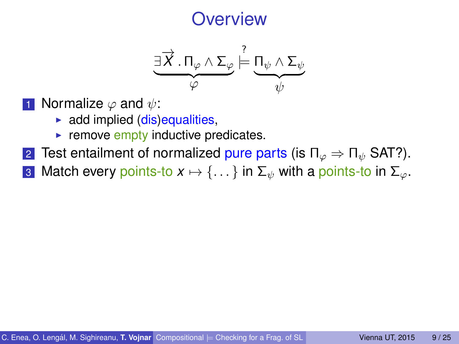$$
\underbrace{\exists \overrightarrow{X}.\, \Pi_{\varphi} \wedge \Sigma_{\varphi}}_{\varphi} \stackrel{?}{\models} \underbrace{\Pi_{\psi} \wedge \Sigma_{\psi}}_{\psi}
$$

- **1** Normalize  $\varphi$  and  $\psi$ :
	- $\triangleright$  add implied (dis)equalities,
	- $\blacktriangleright$  remove empty inductive predicates.
- 2 Test entailment of normalized pure parts (is  $\Pi_{\varphi} \Rightarrow \Pi_{\psi}$  SAT?).
- 3 Match every points-to  $x \mapsto \{ \dots \}$  in  $\Sigma_{\psi}$  with a points-to in  $\Sigma_{\varphi}$ .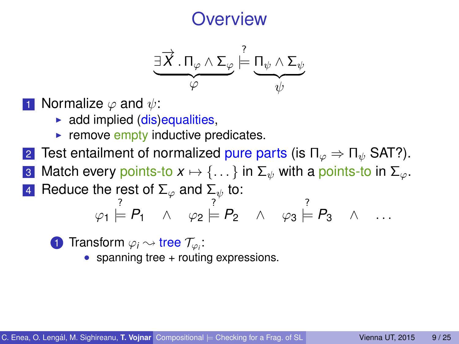$$
\underbrace{\exists \overrightarrow{X}.\, \Pi_{\varphi} \wedge \Sigma_{\varphi}}_{\varphi} \stackrel{?}{\models} \underbrace{\Pi_{\psi} \wedge \Sigma_{\psi}}_{\psi}
$$

- **1** Normalize  $\varphi$  and  $\psi$ :
	- $\triangleright$  add implied (dis)equalities,
	- $\blacktriangleright$  remove empty inductive predicates.
- 2 Test entailment of normalized pure parts (is  $\Pi_{\varphi} \Rightarrow \Pi_{\psi}$  SAT?).
- 3 Match every points-to  $x \mapsto \{ \dots \}$  in  $\Sigma_{\psi}$  with a points-to in  $\Sigma_{\varphi}$ .
- 4 Reduce the rest of  $\Sigma_{\varphi}$  and  $\Sigma_{\psi}$  to:

$$
\varphi_1 \models P_1 \quad \land \quad \varphi_2 \models P_2 \quad \land \quad \varphi_3 \models P_3 \quad \land \quad \dots
$$

**1** Transform  $\varphi_i \sim$  tree  $\mathcal{T}_{\varphi_i}$ :

• spanning tree + routing expressions.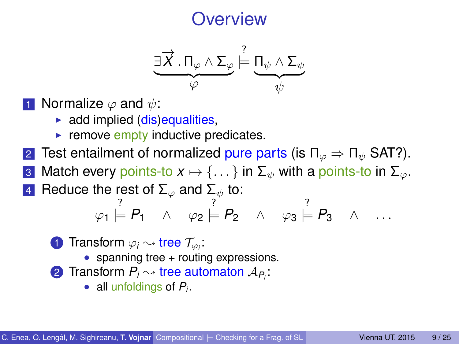$$
\underbrace{\exists \overrightarrow{X}.\, \Pi_{\varphi} \wedge \Sigma_{\varphi}}_{\varphi} \stackrel{?}{\models} \underbrace{\Pi_{\psi} \wedge \Sigma_{\psi}}_{\psi}
$$

- **1** Normalize  $\varphi$  and  $\psi$ :
	- $\triangleright$  add implied (dis)equalities,
	- $\blacktriangleright$  remove empty inductive predicates.
- 2 Test entailment of normalized pure parts (is  $\Pi_{\varphi} \Rightarrow \Pi_{\psi}$  SAT?).
- 3 Match every points-to  $x \mapsto \{ \dots \}$  in  $\Sigma_{\psi}$  with a points-to in  $\Sigma_{\varphi}$ .
- 4 Reduce the rest of  $\Sigma_{\varphi}$  and  $\Sigma_{\psi}$  to:

$$
\varphi_1 \models P_1 \quad \land \quad \varphi_2 \models P_2 \quad \land \quad \varphi_3 \models P_3 \quad \land \quad \dots
$$

- **1** Transform  $\varphi_i \sim$  tree  $\mathcal{T}_{\varphi_i}$ :
	- spanning tree + routing expressions.
- 2 Transform  $P_i \sim$  tree automaton  $A_{P_i}$ :
	- all unfoldings of *Pi*.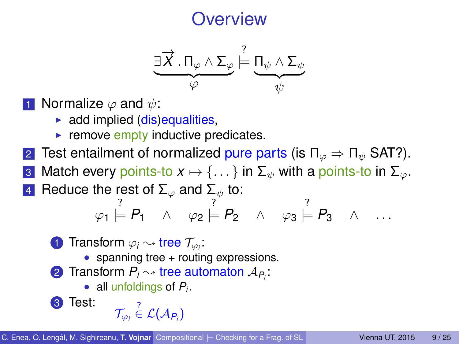$$
\underbrace{\exists \overrightarrow{X}.\, \Pi_{\varphi} \wedge \Sigma_{\varphi}}_{\varphi} \stackrel{?}{\models} \underbrace{\Pi_{\psi} \wedge \Sigma_{\psi}}_{\psi}
$$

- **1** Normalize  $\varphi$  and  $\psi$ :
	- $\triangleright$  add implied (dis)equalities,
	- $\blacktriangleright$  remove empty inductive predicates.
- 2 Test entailment of normalized pure parts (is  $\Pi_{\varphi} \Rightarrow \Pi_{\psi}$  SAT?).
- 3 Match every points-to  $x \mapsto \{ \dots \}$  in  $\Sigma_{\psi}$  with a points-to in  $\Sigma_{\varphi}$ .
- 4 Reduce the rest of  $\Sigma_{\varphi}$  and  $\Sigma_{\psi}$  to:

$$
\varphi_1 \models P_1 \quad \land \quad \varphi_2 \models P_2 \quad \land \quad \varphi_3 \models P_3 \quad \land \quad \dots
$$

**1** Transform  $\varphi_i \sim$  tree  $\mathcal{T}_{\varphi_i}$ :

- spanning tree + routing expressions.
- 2 Transform  $P_i \sim$  tree automaton  $A_{P_i}$ :
	- all unfoldings of *Pi*.

$$
\text{3 Test:} \quad \begin{array}{c} \gamma \\ \tau_{\varphi_i} \in \mathcal{L}(\mathcal{A}_{P_i}) \end{array}
$$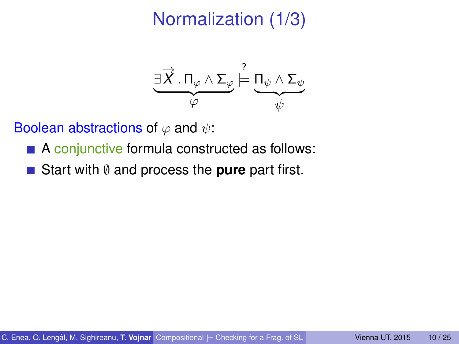# Normalization (1/3)



- A conjunctive formula constructed as follows:
- Start with ∅ and process the **pure** part first.  $\mathcal{L}_{\mathcal{A}}$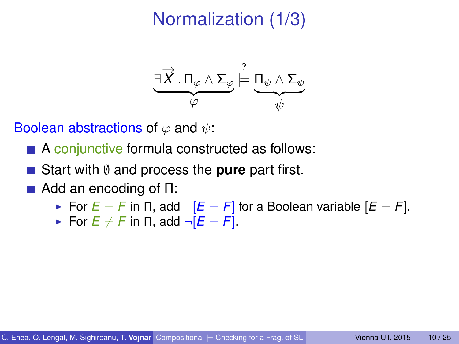# Normalization (1/3)



- A conjunctive formula constructed as follows:
- Start with ∅ and process the **pure** part first.
- $\blacksquare$  Add an encoding of  $\Pi$ :
	- For  $E = F$  in  $\Pi$ , add  $[E = F]$  for a Boolean variable  $[E = F]$ .
	- For  $E \neq F$  in  $\Pi$ , add  $\neg [E = F]$ .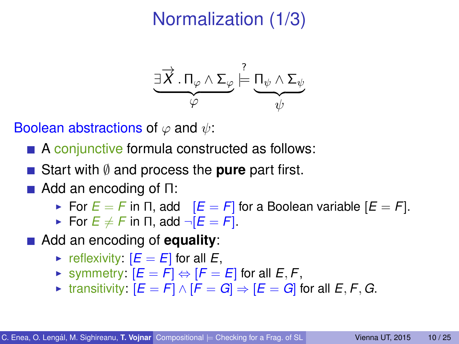# Normalization (1/3)



- A conjunctive formula constructed as follows:
- Start with ∅ and process the **pure** part first.
- $\blacksquare$  Add an encoding of  $\Pi$ :
	- For  $E = F$  in  $\Pi$ , add  $[E = F]$  for a Boolean variable  $[E = F]$ .
	- For  $E \neq F$  in  $\Pi$ , add  $\neg [E = F]$ .
- Add an encoding of **equality**:
	- reflexivity:  $[E = E]$  for all  $E$ ,
	- $\triangleright$  symmetry:  $[E = F] \Leftrightarrow [F = E]$  for all  $E, F$ ,
	- $\triangleright$  transitivity:  $[E = F] \wedge [F = G] \Rightarrow [E = G]$  for all *E*, *F*, *G*.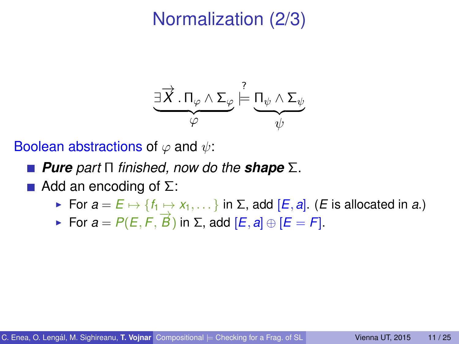# Normalization (2/3)

$$
\underbrace{\exists \overrightarrow{X}.\, \Pi_{\varphi} \wedge \Sigma_{\varphi}}_{\varphi} \stackrel{?}{\models} \underbrace{\Pi_{\psi} \wedge \Sigma_{\psi}}_{\psi}
$$

- *Pure part* Π *finished, now do the shape* Σ.
- $\blacksquare$  Add an encoding of Σ:
	- $\triangleright$  For *a* = *E*  $\mapsto$  {*f*<sub>1</sub>  $\mapsto$  *x*<sub>1</sub>, . . . } in Σ, add [*E*, *a*]. (*E* is allocated in *a*.)
	- $\triangleright$  For *a* = *P*(*E*, *F*,  $\overrightarrow{B}$ ) in Σ, add [*E*, *a*] ⊕ [*E* = *F*].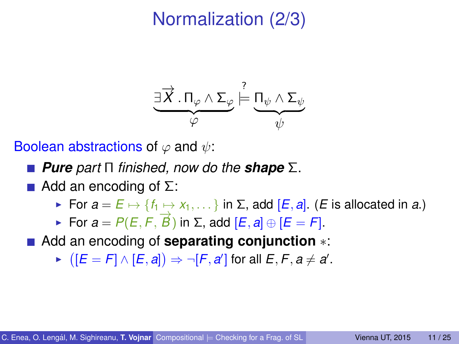# Normalization (2/3)

$$
\underbrace{\exists \overrightarrow{X}.\, \Pi_{\varphi} \wedge \Sigma_{\varphi}}_{\varphi} \stackrel{?}{\models} \underbrace{\Pi_{\psi} \wedge \Sigma_{\psi}}_{\psi}
$$

- *Pure part* Π *finished, now do the shape* Σ.
- Add an encoding of  $\Sigma$ :
	- $\triangleright$  For *a* = *E*  $\mapsto$  {*f*<sub>1</sub>  $\mapsto$  *x*<sub>1</sub>, . . . } in Σ, add [*E*, *a*]. (*E* is allocated in *a*.)
	- $\triangleright$  For *a* = *P*(*E*, *F*,  $\overrightarrow{B}$ ) in Σ, add [*E*, *a*] ⊕ [*E* = *F*].
- Add an encoding of **separating conjunction** ∗:
	- ►  $([E = F] \wedge [E, a]) \Rightarrow \neg [F, a']$  for all  $E, F, a \neq a'$ .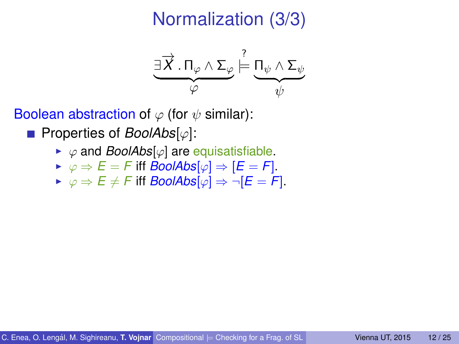# Normalization (3/3)

$$
\underbrace{\exists \overrightarrow{X}.\, \Pi_{\varphi} \wedge \Sigma_{\varphi}}_{\varphi} \stackrel{?}{\models} \underbrace{\Pi_{\psi} \wedge \Sigma_{\psi}}_{\psi}
$$

Boolean abstraction of  $\varphi$  (for  $\psi$  similar):

■ Properties of *BoolAbs*[ $\phi$ ]:

- $\rightarrow \varphi$  and *BoolAbs*[ $\varphi$ ] are equisatisfiable.
- $\triangleright \varphi \Rightarrow E = F$  iff *BoolAbs* $[\varphi] \Rightarrow [E = F]$ .
- $\triangleright \varphi \Rightarrow E \neq F$  iff *BoolAbs* $[\varphi] \Rightarrow \neg [E = F].$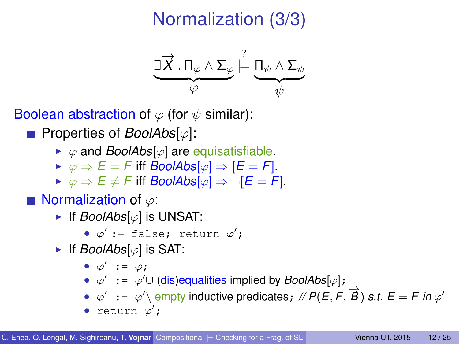# Normalization (3/3)

$$
\underbrace{\exists \overrightarrow{X}.\, \Pi_{\varphi} \wedge \Sigma_{\varphi}}_{\varphi} \stackrel{?}{\models} \underbrace{\Pi_{\psi} \wedge \Sigma_{\psi}}_{\psi}
$$

Boolean abstraction of  $\varphi$  (for  $\psi$  similar):

Properties of *BoolAbs*[ϕ]:

- $\triangleright \varphi$  and *BoolAbs*[ $\varphi$ ] are equisatisfiable.
- $\triangleright \varphi \Rightarrow E = F$  iff *BoolAbs* $[\varphi] \Rightarrow [E = F]$ .
- $\triangleright \varphi \Rightarrow E \neq F$  iff *BoolAbs* $[\varphi] \Rightarrow \neg [E = F].$

■ Normalization of  $\varphi$ :

► If *BoolAbs*[ $\varphi$ ] is UNSAT:

•  $\varphi'$  := false; return  $\varphi'$ ;

If *BoolAbs*[ $\varphi$ ] is SAT:

$$
\bullet \ \varphi' \ := \ \varphi \, ;
$$

- $\varphi' := \varphi' \cup \text{(dis)equalities implied by } \textit{BoolAbs}[\varphi];$
- $\varphi' := \varphi' \text{ empty inductive predicates}; \text{ // } P(E, F, \overrightarrow{B}) \text{ s.t. } E = F \text{ in } \varphi'$
- return  $\varphi'$ ;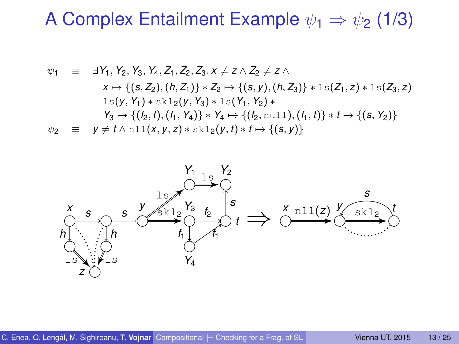#### A Complex Entailment Example  $\psi_1 \Rightarrow \psi_2$  (1/3)

$$
\psi_1 \equiv \exists Y_1, Y_2, Y_3, Y_4, Z_1, Z_2, Z_3. x \neq z \land Z_2 \neq z \land
$$
  
\n
$$
x \mapsto \{(s, Z_2), (h, Z_1)\} * Z_2 \mapsto \{(s, y), (h, Z_3)\} * 1s(Z_1, z) * 1s(Z_3, z)
$$
  
\n
$$
1s(y, Y_1) * s k 12(y, Y_3) * 1s(Y_1, Y_2) *\nY_3 \mapsto \{(t_2, t), (t_1, Y_4)\} * Y_4 \mapsto \{(t_2, \text{null}), (t_1, t)\} * t \mapsto \{(s, Y_2)\}
$$
  
\n
$$
\psi_2 \equiv y \neq t \land \text{null}(x, y, z) * s k 12(y, t) * t \mapsto \{(s, y)\}
$$

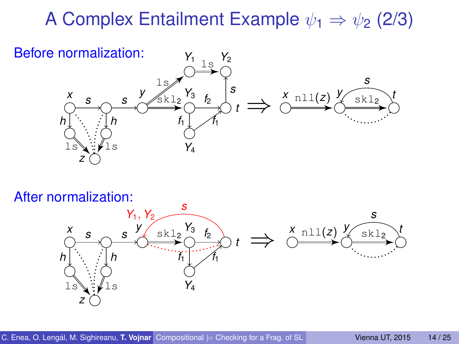## A Complex Entailment Example  $\psi_1 \Rightarrow \psi_2$  (2/3)



#### After normalization:

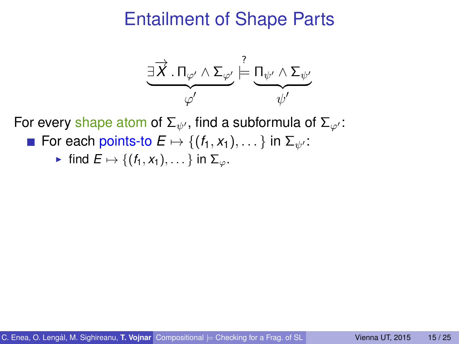

For every shape atom of  $\Sigma_{\psi'}$ , find a subformula of  $\Sigma_{\omega'}$ :

For each points-to  $E \mapsto \{(f_1, x_1), \dots\}$  in  $\Sigma_{\psi}$ :

• find 
$$
E \mapsto \{(f_1, x_1), \dots\}
$$
 in  $\Sigma_\varphi$ .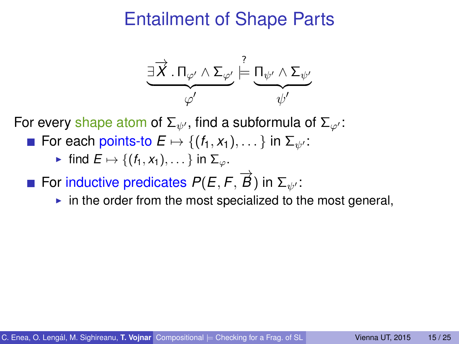

For every shape atom of  $\Sigma_{\psi'}$ , find a subformula of  $\Sigma_{\omega'}$ :

**For each points-to**  $E \mapsto \{(f_1, x_1), \dots\}$  **in**  $\Sigma_{\psi}$ **:** 

- For inductive predicates  $P(E, F, \overrightarrow{B})$  in  $\Sigma_{\psi'}$ :
	- $\blacktriangleright$  in the order from the most specialized to the most general,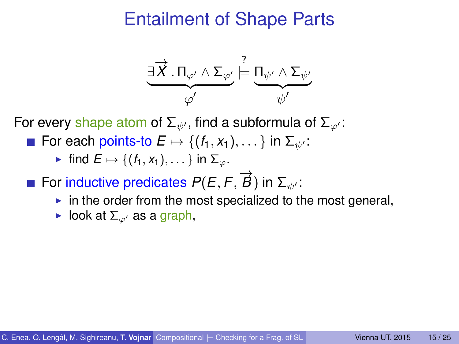

For every shape atom of  $\Sigma_{\psi'}$ , find a subformula of  $\Sigma_{\varphi'}$ :

- **For each points-to**  $E \mapsto \{(f_1, x_1), \dots\}$  **in**  $\Sigma_{\psi}$ **:** 
	- $\triangleright$  find  $E \mapsto \{(f_1, x_1), \dots\}$  in  $\Sigma_{\infty}$ .
- For inductive predicates  $P(E, F, \overrightarrow{B})$  in  $\Sigma_{\psi'}$ :
	- $\triangleright$  in the order from the most specialized to the most general,
	- look at  $\Sigma_{\varphi}$  as a graph,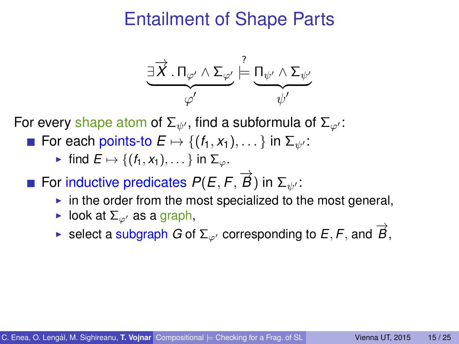

For every shape atom of  $\Sigma_{\psi'}$ , find a subformula of  $\Sigma_{\varphi'}$ :

For each points-to  $E \mapsto \{(f_1, x_1), \dots\}$  in  $\Sigma_{\psi'}$ :

- For inductive predicates  $P(E, F, \overrightarrow{B})$  in  $\Sigma_{\psi'}$ :
	- $\triangleright$  in the order from the most specialized to the most general,
	- $\blacktriangleright$  look at  $\Sigma_{\varnothing}$  as a graph,
	- $\triangleright$  select a subgraph *G* of  $\Sigma_{\varphi}$  corresponding to *E*, *F*, and  $\overrightarrow{B}$ ,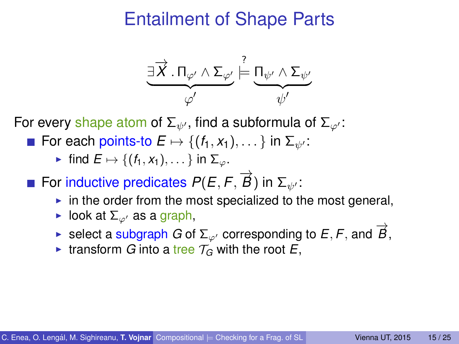

For every shape atom of  $\Sigma_{\psi'}$ , find a subformula of  $\Sigma_{\omega'}$ :

**For each points-to**  $E \mapsto \{(f_1, x_1), \dots\}$  **in**  $\Sigma_{\psi}$ **:** 

- For inductive predicates  $P(E, F, \overrightarrow{B})$  in  $\Sigma_{\psi'}$ :
	- $\triangleright$  in the order from the most specialized to the most general,
	- $\blacktriangleright$  look at  $\Sigma_{\varnothing}$  as a graph,
	- $\blacktriangleright$  select a subgraph *G* of  $\Sigma_{\varphi}$  corresponding to *E*, *F*, and  $\vec{B}$ ,
	- If transform *G* into a tree  $\mathcal{T}_G$  with the root *E*,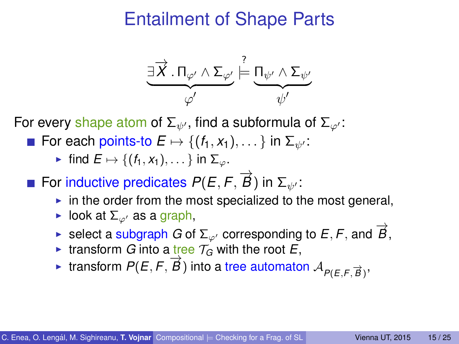

For every shape atom of  $\Sigma_{\psi'}$ , find a subformula of  $\Sigma_{\varphi'}$ :

For each points-to  $E \mapsto \{(f_1, x_1), \dots\}$  in  $\Sigma_{\psi}$ :

- For inductive predicates  $P(E, F, \overrightarrow{B})$  in  $\Sigma_{\psi'}$ :
	- $\triangleright$  in the order from the most specialized to the most general,
	- $\blacktriangleright$  look at  $\Sigma_{\varnothing}$  as a graph,
	- $\blacktriangleright$  select a subgraph *G* of  $\Sigma_{\varphi}$  corresponding to *E*, *F*, and  $\vec{B}$ ,
	- If transform *G* into a tree  $T_G$  with the root *E*,
	- → transform  $P(E, F, \vec{B})$  into a tree automaton  $A_{P(E, F, \vec{B})}$ ,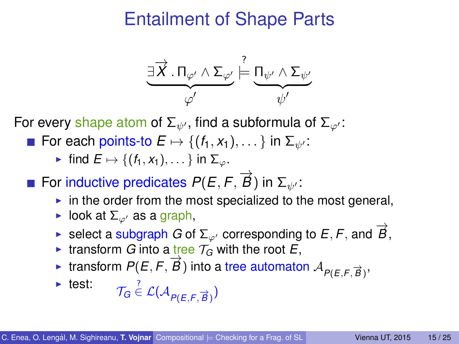$$
\underbrace{\exists \overrightarrow{X}.\, \Pi_{\varphi'} \wedge \Sigma_{\varphi'}}_{\varphi'} \models \underbrace{\Pi_{\psi'} \wedge \Sigma_{\psi'}}_{\psi'}
$$

For every shape atom of  $\Sigma_{\psi'}$ , find a subformula of  $\Sigma_{\varphi'}$ :

For each points-to  $E \mapsto \{(f_1, x_1), \dots\}$  in  $\Sigma_{\psi'}$ :

- For inductive predicates  $P(E, F, \overrightarrow{B})$  in  $\Sigma_{\psi'}$ :
	- $\triangleright$  in the order from the most specialized to the most general,
	- $\blacktriangleright$  look at  $\Sigma_{\varnothing}$  as a graph,
	- $\blacktriangleright$  select a subgraph *G* of  $\Sigma_{\varphi}$  corresponding to *E*, *F*, and  $\vec{B}$ ,
	- If transform *G* into a tree  $T_G$  with the root *E*,
	- → transform  $P(E, F, \vec{B})$  into a tree automaton  $A_{P(E, F, \vec{B})}$ ,

▶ test: 
$$
\mathcal{T}_G \stackrel{?}{\in} \mathcal{L}(\mathcal{A}_{P(E,F,\overrightarrow{B})})
$$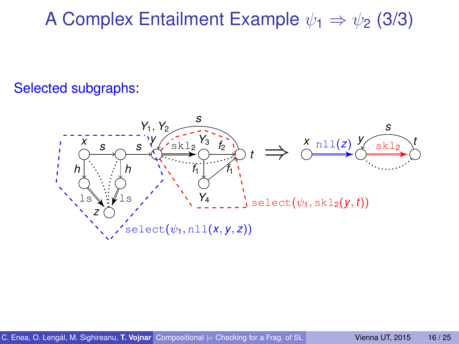A Complex Entailment Example  $\psi_1 \Rightarrow \psi_2$  (3/3)

#### Selected subgraphs:

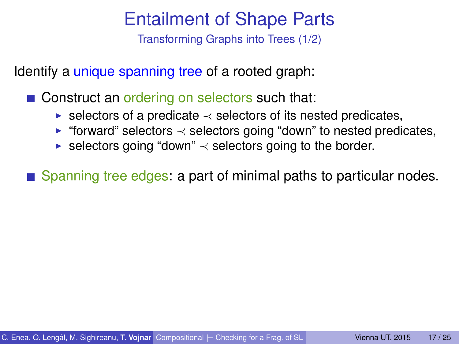Transforming Graphs into Trees (1/2)

Identify a unique spanning tree of a rooted graph:

■ Construct an ordering on selectors such that:

- $\triangleright$  selectors of a predicate  $\prec$  selectors of its nested predicates,
- ► "forward" selectors  $\prec$  selectors going "down" to nested predicates,
- ► selectors going "down"  $\prec$  selectors going to the border.

Spanning tree edges: a part of minimal paths to particular nodes.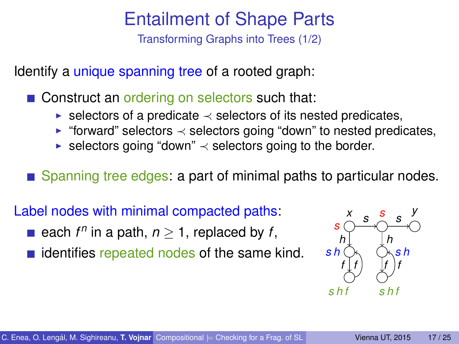Transforming Graphs into Trees (1/2)

Identify a *unique spanning tree* of a rooted graph:

■ Construct an ordering on selectors such that:

- $\triangleright$  selectors of a predicate  $\prec$  selectors of its nested predicates,
- ► "forward" selectors  $\prec$  selectors going "down" to nested predicates,
- ► selectors going "down"  $\prec$  selectors going to the border.

Spanning tree edges: a part of minimal paths to particular nodes.

Label nodes with minimal compacted paths:

- each  $f^n$  in a path,  $n \geq 1$ , replaced by  $f$ ,
- $\blacksquare$  identifies repeated nodes of the same kind.

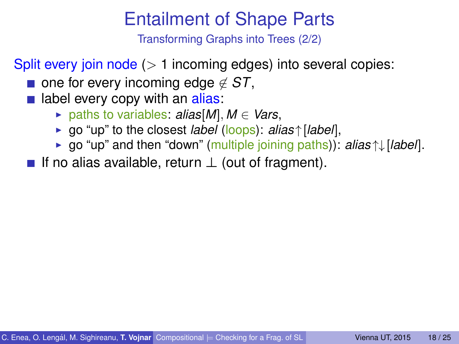Transforming Graphs into Trees (2/2)

Split every join node  $(> 1$  incoming edges) into several copies:

- one for every incoming edge  $\notin$  *ST*,
- label every copy with an alias:
	- $▶$  paths to variables:  $\alpha$ *lias*[*M*],  $M \in \text{Vars}$ ,
	- <sup>I</sup> go "up" to the closest *label* (loops): *alias* ↑[*label*],
	- <sup>I</sup> go "up" and then "down" (multiple joining paths)): *alias* ↑↓[*label*].
- If no alias available, return  $\perp$  (out of fragment).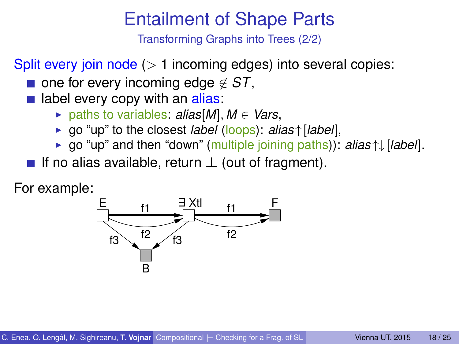Transforming Graphs into Trees (2/2)

Split every join node  $($  > 1 incoming edges) into several copies:

- one for every incoming edge  $\notin$  *ST*,
- $\blacksquare$  label every copy with an alias:
	- $▶$  paths to variables:  $\alpha$ *lias*[*M*],  $M \in \text{Vars}$ ,
	- <sup>I</sup> go "up" to the closest *label* (loops): *alias* ↑[*label*],
	- <sup>I</sup> go "up" and then "down" (multiple joining paths)): *alias* ↑↓[*label*].
- If no alias available, return  $\perp$  (out of fragment).

For example:

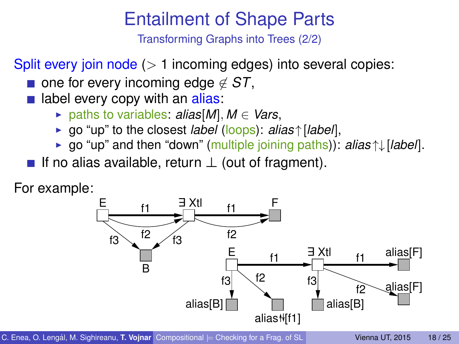Transforming Graphs into Trees (2/2)

Split every join node  $($  > 1 incoming edges) into several copies:

- one for every incoming edge  $\notin$  *ST*,
- $\blacksquare$  label every copy with an alias:
	- $▶$  paths to variables:  $alias[M], M ∈ Vars$ ,
	- <sup>I</sup> go "up" to the closest *label* (loops): *alias* ↑[*label*],
	- <sup>I</sup> go "up" and then "down" (multiple joining paths)): *alias* ↑↓[*label*].
- If no alias available, return  $\perp$  (out of fragment).

For example:



C. Enea, O. Lengál, M. Sighireanu, T. Vojnar Compositional  $=$  [Checking for a Frag. of SL](#page-0-0) Vienna UT, 2015 18/25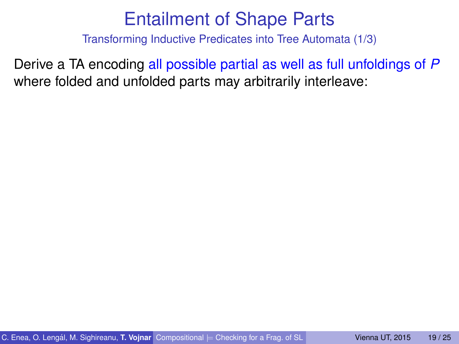Transforming Inductive Predicates into Tree Automata (1/3)

Derive a TA encoding all possible partial as well as full unfoldings of *P* where folded and unfolded parts may arbitrarily interleave: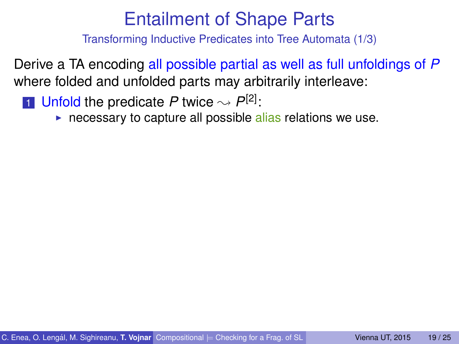Transforming Inductive Predicates into Tree Automata (1/3)

Derive a TA encoding all possible partial as well as full unfoldings of *P* where folded and unfolded parts may arbitrarily interleave:

**1** Unfold the predicate *P* twice  $\sim P^{[2]}$ :

 $\triangleright$  necessary to capture all possible alias relations we use.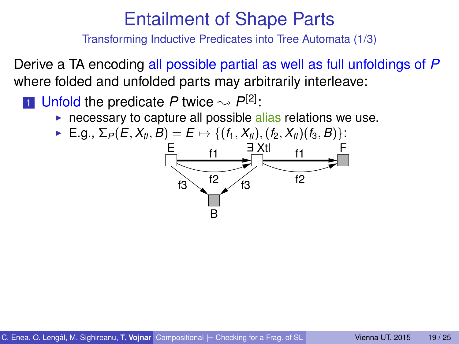Transforming Inductive Predicates into Tree Automata (1/3)

Derive a TA encoding all possible partial as well as full unfoldings of *P* where folded and unfolded parts may arbitrarily interleave:

**1** Unfold the predicate *P* twice  $\sim P^{[2]}$ :

 $\triangleright$  necessary to capture all possible alias relations we use.

• E.g., 
$$
\Sigma_P(E, X_{t}, B) = E \mapsto \{(f_1, X_{t}), (f_2, X_{t})(f_3, B)\}
$$
:

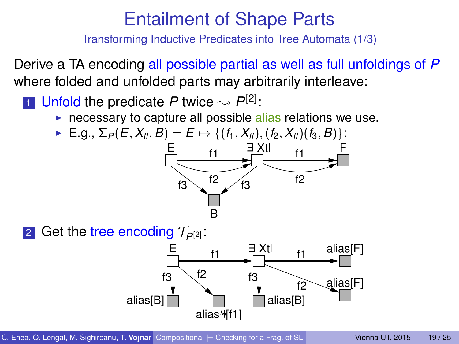Transforming Inductive Predicates into Tree Automata (1/3)

Derive a TA encoding all possible partial as well as full unfoldings of *P* where folded and unfolded parts may arbitrarily interleave:

**1** Unfold the predicate *P* twice  $\sim P^{[2]}$ :

 $\triangleright$  necessary to capture all possible alias relations we use.

• E.g., 
$$
\Sigma_P(E, X_{t}, B) = E \mapsto \{(f_1, X_{t}), (f_2, X_{t})(f_3, B)\}
$$
:





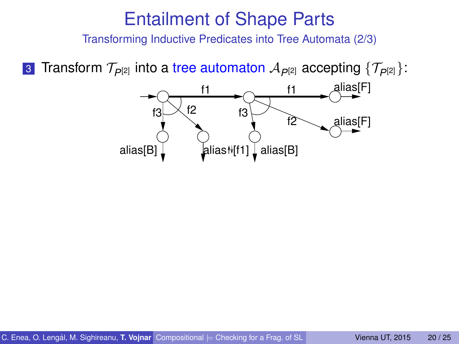Transforming Inductive Predicates into Tree Automata (2/3)

**3** Transform  $\mathcal{T}_{P^{[2]}}$  into a tree automaton  $\mathcal{A}_{P^{[2]}}$  accepting  $\{\mathcal{T}_{P^{[2]}}\}$ :

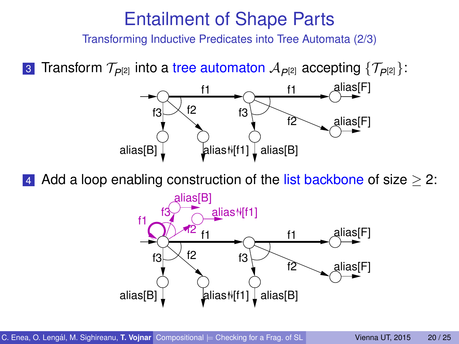Transforming Inductive Predicates into Tree Automata (2/3)

3 Transform  $\mathcal{T}_{\rho[2]}$  into a tree automaton  $\mathcal{A}_{\rho[2]}$  accepting  $\{\mathcal{T}_{\rho[2]}\}$ :



Add a loop enabling construction of the list backbone of size  $>$  2:

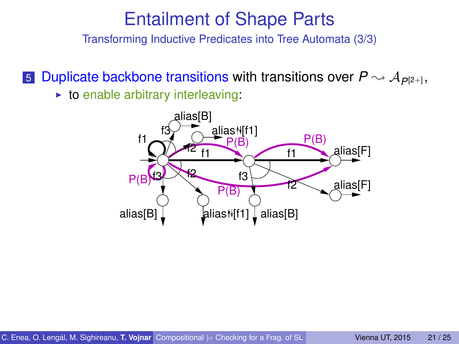Transforming Inductive Predicates into Tree Automata (3/3)

5 Duplicate backbone transitions with transitions over  $P \rightsquigarrow A_{P[2+]}$ ,  $\triangleright$  to enable arbitrary interleaving:

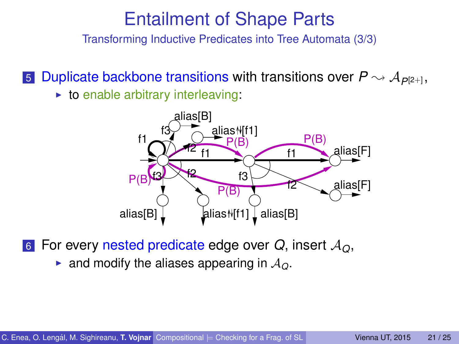Transforming Inductive Predicates into Tree Automata (3/3)

5 Duplicate backbone transitions with transitions over  $P \rightsquigarrow A_{P[2+]}$ ,  $\triangleright$  to enable arbitrary interleaving:



<sup>6</sup> For every nested predicate edge over *Q*, insert A*Q*,

**•** and modify the aliases appearing in  $A<sub>O</sub>$ .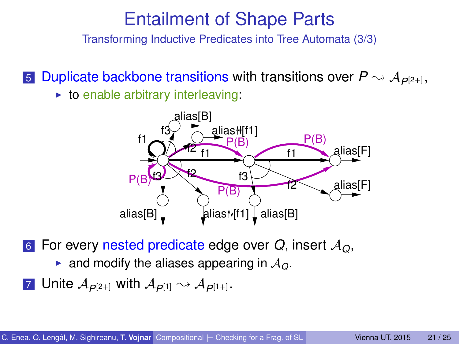Transforming Inductive Predicates into Tree Automata (3/3)

5 Duplicate backbone transitions with transitions over  $P \rightsquigarrow A_{P[2+]}$ ,  $\triangleright$  to enable arbitrary interleaving:



<sup>6</sup> For every nested predicate edge over *Q*, insert A*Q*,

- **•** and modify the aliases appearing in  $A<sub>O</sub>$ .
- **7** Unite  $\mathcal{A}_{\rho[2+]}$  with  $\mathcal{A}_{\rho[1]} \rightsquigarrow \mathcal{A}_{\rho[1+]}$ .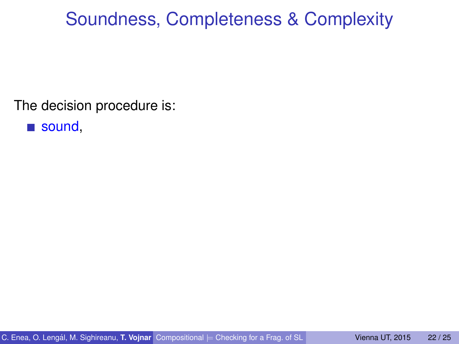## Soundness, Completeness & Complexity

The decision procedure is:

sound,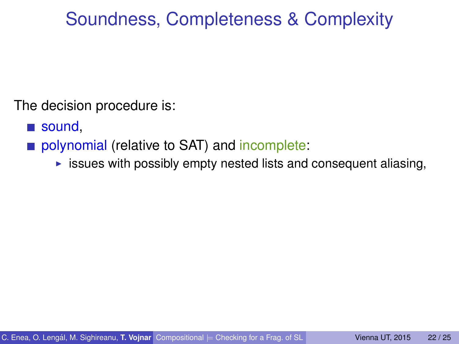# Soundness, Completeness & Complexity

The decision procedure is:

- sound,
- polynomial (relative to SAT) and incomplete:
	- $\triangleright$  issues with possibly empty nested lists and consequent aliasing,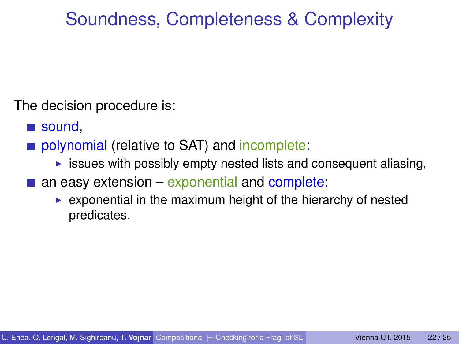# Soundness, Completeness & Complexity

The decision procedure is:

- sound,
- polynomial (relative to SAT) and incomplete:
	- $\triangleright$  issues with possibly empty nested lists and consequent aliasing,
- an easy extension exponential and complete:
	- $\triangleright$  exponential in the maximum height of the hierarchy of nested predicates.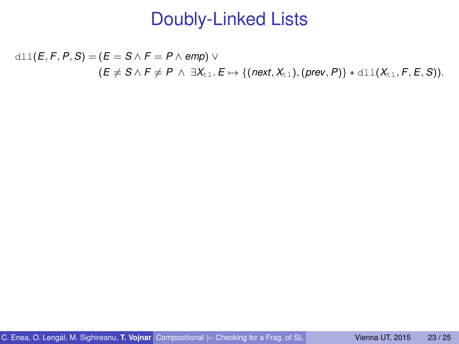$d11(E, F, P, S) = (E = S \wedge F = P \wedge emp) \vee$  $(E \neq S \land F \neq P \land \exists X_{t} \bot \ldots E \mapsto \{(\text{next}, X_{t} \bot), (\text{prev}, P)\} * \text{dll}(X_{t} \bot, F, E, S)).$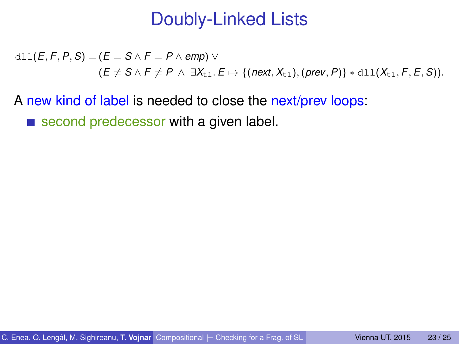$d11(E, F, P, S) = (E = S \wedge F = P \wedge emp) \vee$  $(E \neq S \land F \neq P \land \exists X_{t}$ .  $E \mapsto \{(next, X_{t})$ ,  $(\text{prev}, P)\} * \text{dl}(X_{t}$ , *F*, *E*, *S*)).

A new kind of label is needed to close the next/prev loops:

second predecessor with a given label.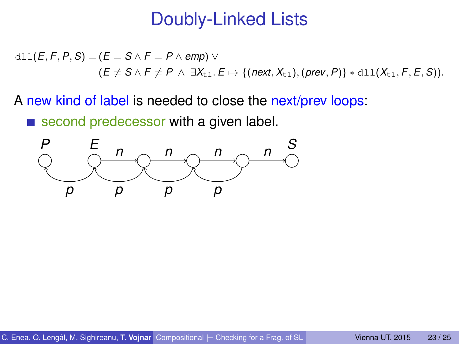$d11(E, F, P, S) = (E = S \wedge F = P \wedge emp) \vee$  $(E \neq S \land F \neq P \land \exists X_{t}$ .  $E \mapsto \{(next, X_{t})$ ,  $(\text{prev}, P)\} * \text{dl}(X_{t}$ , *F*, *E*, *S*)).

A new kind of label is needed to close the next/prev loops:

second predecessor with a given label.

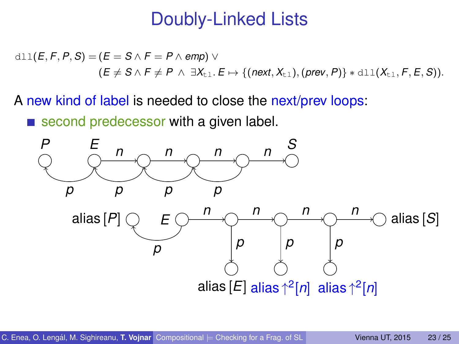$d11(E, F, P, S) = (E = S \wedge F = P \wedge emp) \vee$  $(E \neq S \land F \neq P \land \exists X_{t}$ .  $E \mapsto \{(next, X_{t})$ ,  $(\text{prev}, P)\} * \text{dl}(X_{t}$ , *F*, *E*, *S*)).

A new kind of label is needed to close the next/prev loops:

second predecessor with a given label.

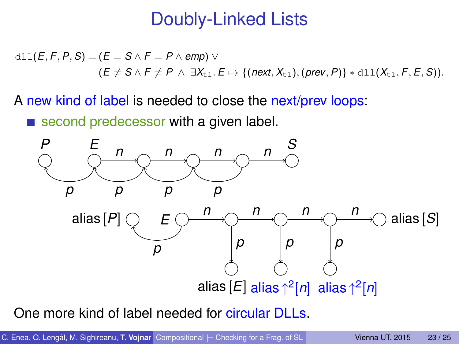$d11(E, F, P, S) = (E = S \wedge F = P \wedge emp) \vee$  $(E \neq S \land F \neq P \land \exists X_{t}$ .  $E \mapsto \{(next, X_{t})$ ,  $(\text{prev}, P)\} * \text{dl}(X_{t}$ , *F*, *E*, *S*)).

A new kind of label is needed to close the next/prev loops:

second predecessor with a given label.



One more kind of label needed for circular DLLs.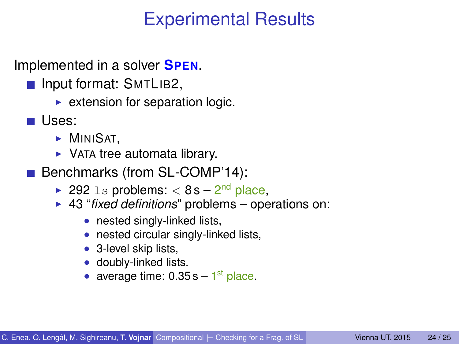## Experimental Results

Implemented in a solver **SPEN**.

- **Input format: SMTLIB2,** 
	- $\triangleright$  extension for separation logic.
- $\blacksquare$  Uses:
	- $\blacktriangleright$  MINISAT,
	- $\triangleright$  VATA tree automata library.
- Benchmarks (from SL-COMP'14):
	- ► 292 ls problems:  $< 8$  s  $2<sup>nd</sup>$  place,
	- ► 43 "*fixed definitions*" problems operations on:
		- nested singly-linked lists,
		- nested circular singly-linked lists,
		- 3-level skip lists,
		- doubly-linked lists.
		- average time:  $0.35 s 1<sup>st</sup>$  place.